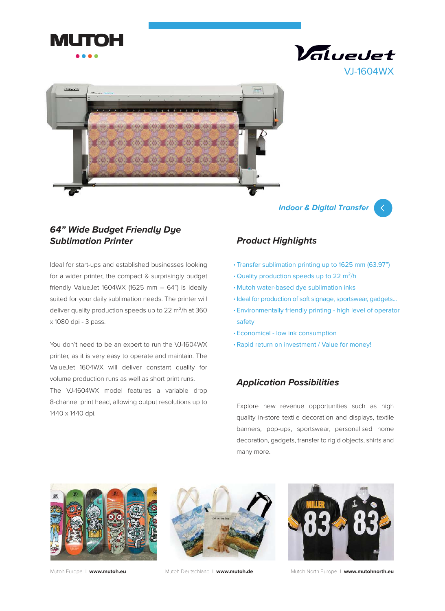





**Indoor & Digital Transfer**



## **64" Wide Budget Friendly Dye Sublimation Printer**

Ideal for start-ups and established businesses looking for a wider printer, the compact & surprisingly budget friendly ValueJet 1604WX (1625 mm  $-$  64") is ideally suited for your daily sublimation needs. The printer will deliver quality production speeds up to 22 m<sup>2</sup>/h at 360 x 1080 dpi - 3 pass.

You don't need to be an expert to run the VJ-1604WX printer, as it is very easy to operate and maintain. The ValueJet 1604WX will deliver constant quality for volume production runs as well as short print runs. The VJ-1604WX model features a variable drop

8-channel print head, allowing output resolutions up to 1440 x 1440 dpi.

# **Product Highlights**

- Transfer sublimation printing up to 1625 mm (63.97") •
- Quality production speeds up to 22 m<sup>2</sup>/h
- Mutoh water-based dye sublimation inks •
- Ideal for production of soft signage, sportswear, gadgets...
- Environmentally friendly printing high level of operator safety
- Economical low ink consumption •
- Rapid return on investment / Value for money! •

## **Application Possibilities**

Explore new revenue opportunities such as high quality in-store textile decoration and displays, textile banners, pop-ups, sportswear, personalised home decoration, gadgets, transfer to rigid objects, shirts and many more.